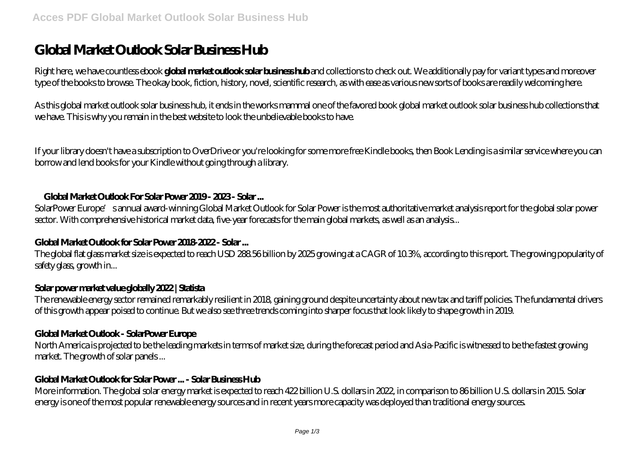# **Global Market Outlook Solar Business Hub**

Right here, we have countless ebook **global market outlook solar business hub** and collections to check out. We additionally pay for variant types and moreover type of the books to browse. The okay book, fiction, history, novel, scientific research, as with ease as various new sorts of books are readily welcoming here.

As this global market outlook solar business hub, it ends in the works mammal one of the favored book global market outlook solar business hub collections that we have. This is why you remain in the best website to look the unbelievable books to have.

If your library doesn't have a subscription to OverDrive or you're looking for some more free Kindle books, then Book Lending is a similar service where you can borrow and lend books for your Kindle without going through a library.

## **Global Market Outlook For Solar Power 2019 - 2023 - Solar ...**

SolarPower Europe' sannual award-winning Global Market Outlook for Solar Power is the most authoritative market analysis report for the global solar power sector. With comprehensive historical market data, five-year forecasts for the main global markets, as well as an analysis...

# **Global Market Outlook for Solar Power 2018-2022 - Solar ...**

The global flat glass market size is expected to reach USD 288.56 billion by 2025 growing at a CAGR of 10.3%, according to this report. The growing popularity of safety glass, growth in...

#### **Solar power market value globally 2022 | Statista**

The renewable energy sector remained remarkably resilient in 2018, gaining ground despite uncertainty about new tax and tariff policies. The fundamental drivers of this growth appear poised to continue. But we also see three trends coming into sharper focus that look likely to shape growth in 2019.

# **Global Market Outlook - SolarPower Europe**

North America is projected to be the leading markets in terms of market size, during the forecast period and Asia-Pacific is witnessed to be the fastest growing market. The growth of solar panels ...

# **Global Market Outlook for Solar Power ... - Solar Business Hub**

More information. The global solar energy market is expected to reach 422 billion U.S. dollars in 2022, in comparison to 86 billion U.S. dollars in 2015. Solar energy is one of the most popular renewable energy sources and in recent years more capacity was deployed than traditional energy sources.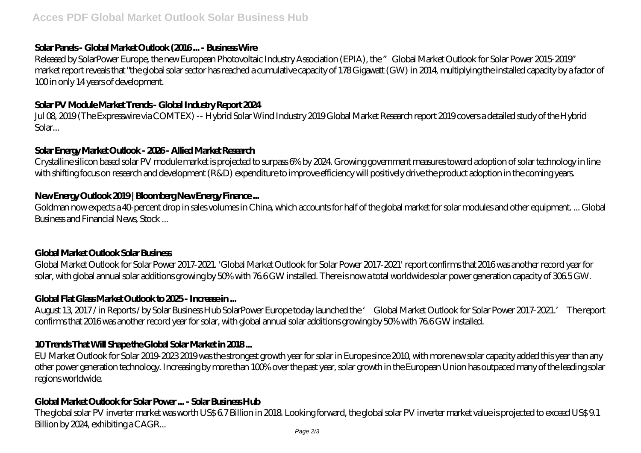## **Solar Panels - Global Market Outlook (2016 ... - Business Wire**

Released by SolarPower Europe, the new European Photovoltaic Industry Association (EPIA), the "Global Market Outlook for Solar Power 2015-2019" market report reveals that "the global solar sector has reached a cumulative capacity of 178 Gigawatt (GW) in 2014, multiplying the installed capacity by a factor of 100 in only 14 years of development.

# **Solar PV Module Market Trends - Global Industry Report 2024**

Jul 08, 2019 (The Expresswire via COMTEX) -- Hybrid Solar Wind Industry 2019 Global Market Research report 2019 covers a detailed study of the Hybrid Solar...

## **Solar Energy Market Outlook - 2026 - Allied Market Research**

Crystalline silicon based solar PV module market is projected to surpass 6% by 2024. Growing government measures toward adoption of solar technology in line with shifting focus on research and development (R&D) expenditure to improve efficiency will positively drive the product adoption in the coming years.

# **New Energy Outlook 2019 | Bloomberg New Energy Finance ...**

Goldman now expects a 40-percent drop in sales volumes in China, which accounts for half of the global market for solar modules and other equipment. ... Global Business and Financial News, Stock ...

# **Global Market Outlook Solar Business**

Global Market Outlook for Solar Power 2017-2021. 'Global Market Outlook for Solar Power 2017-2021' report confirms that 2016 was another record year for solar, with global annual solar additions growing by 50% with 76.6 GW installed. There is now a total worldwide solar power generation capacity of 306.5 GW.

# **Global Flat Glass Market Outlook to 2025 - Increase in ...**

August 13, 2017 / in Reports / by Solar Business Hub SolarPower Europe today launched the ' Global Market Outlook for Solar Power 2017-2021.' The report confirms that 2016 was another record year for solar, with global annual solar additions growing by 50% with 76.6 GW installed.

# **10 Trends That Will Shape the Global Solar Market in 2018 ...**

EU Market Outlook for Solar 2019-2023 2019 was the strongest growth year for solar in Europe since 2010, with more new solar capacity added this year than any other power generation technology. Increasing by more than 100% over the past year, solar growth in the European Union has outpaced many of the leading solar regions worldwide.

# **Global Market Outlook for Solar Power ... - Solar Business Hub**

The global solar PV inverter market was worth US\$ 6.7 Billion in 2018. Looking forward, the global solar PV inverter market value is projected to exceed US\$ 9.1 Billion by 2024, exhibiting a CAGR...